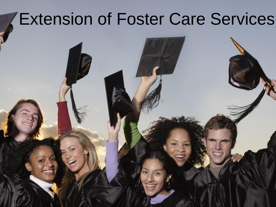# Extension of Foster Care Services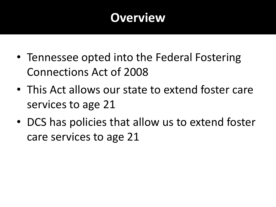### **Overview**

- Tennessee opted into the Federal Fostering Connections Act of 2008
- This Act allows our state to extend foster care services to age 21
- DCS has policies that allow us to extend foster care services to age 21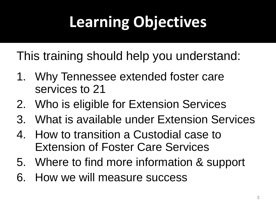# **Learning Objectives**

This training should help you understand:

- 1. Why Tennessee extended foster care services to 21
- 2. Who is eligible for Extension Services
- 3. What is available under Extension Services
- 4. How to transition a Custodial case to Extension of Foster Care Services
- 5. Where to find more information & support
- 6. How we will measure success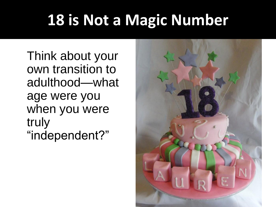# **18 is Not a Magic Number**

Think about your own transition to adulthood—what age were you when you were truly "independent?"

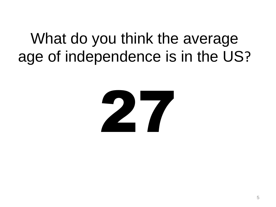## What do you think the average age of independence is in the US?

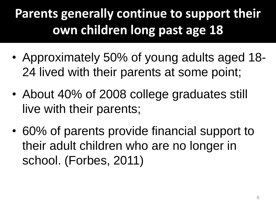### **Parents generally continue to support their own children long past age 18**

- Approximately 50% of young adults aged 18- 24 lived with their parents at some point;
- About 40% of 2008 college graduates still live with their parents;
- 60% of parents provide financial support to their adult children who are no longer in school. (Forbes, 2011)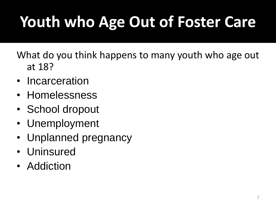# **Youth who Age Out of Foster Care**

What do you think happens to many youth who age out at 18?

- Incarceration
- Homelessness
- School dropout
- Unemployment
- Unplanned pregnancy
- Uninsured
- Addiction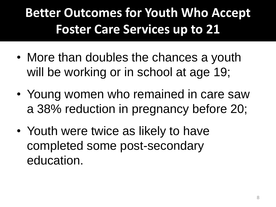### **Better Outcomes for Youth Who Accept Foster Care Services up to 21**

- More than doubles the chances a youth will be working or in school at age 19;
- Young women who remained in care saw a 38% reduction in pregnancy before 20;
- Youth were twice as likely to have completed some post-secondary education.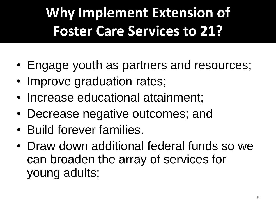# **Why Implement Extension of Foster Care Services to 21?**

- Engage youth as partners and resources;
- Improve graduation rates;
- Increase educational attainment;
- Decrease negative outcomes; and
- Build forever families.
- Draw down additional federal funds so we can broaden the array of services for young adults;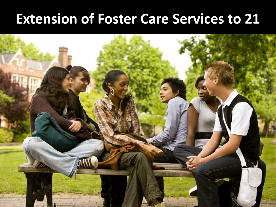### **Extension of Foster Care Services to 21**

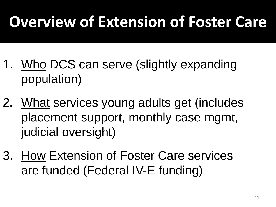# **Overview of Extension of Foster Care**

- 1. Who DCS can serve (slightly expanding population)
- 2. What services young adults get (includes placement support, monthly case mgmt, judicial oversight)
- 3. How Extension of Foster Care services are funded (Federal IV-E funding)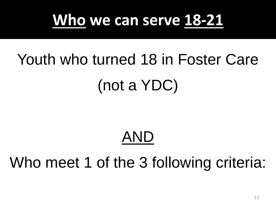

# Youth who turned 18 in Foster Care (not a YDC)

## AND

## Who meet 1 of the 3 following criteria: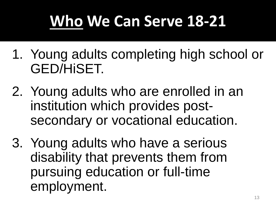# **Who We Can Serve 18-21**

- 1. Young adults completing high school or GED/HiSET.
- 2. Young adults who are enrolled in an institution which provides postsecondary or vocational education.
- 3. Young adults who have a serious disability that prevents them from pursuing education or full-time employment.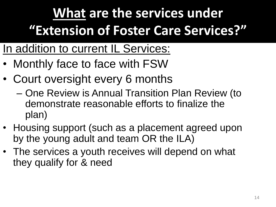## **What are the services under "Extension of Foster Care Services?"**

- In addition to current IL Services:
- Monthly face to face with FSW
- Court oversight every 6 months
	- One Review is Annual Transition Plan Review (to demonstrate reasonable efforts to finalize the plan)
- Housing support (such as a placement agreed upon by the young adult and team OR the ILA)
- The services a youth receives will depend on what they qualify for & need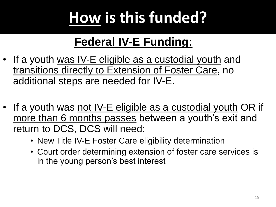# **How is this funded?**

### **Federal IV-E Funding:**

- If a youth was IV-E eligible as a custodial youth and transitions directly to Extension of Foster Care, no additional steps are needed for IV-E.
- If a youth was not IV-E eligible as a custodial youth OR if more than 6 months passes between a youth's exit and return to DCS, DCS will need:
	- New Title IV-E Foster Care eligibility determination
	- Court order determining extension of foster care services is in the young person's best interest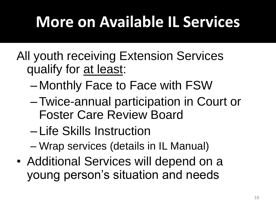# **More on Available IL Services**

- All youth receiving Extension Services qualify for at least:
	- Monthly Face to Face with FSW
	- –Twice-annual participation in Court or Foster Care Review Board
	- Life Skills Instruction
	- Wrap services (details in IL Manual)
- Additional Services will depend on a young person's situation and needs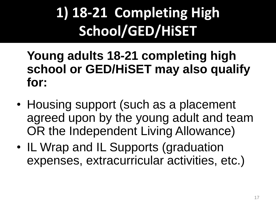## **1) 18-21 Completing High School/GED/HiSET**

**Young adults 18-21 completing high school or GED/HiSET may also qualify for:**

- Housing support (such as a placement agreed upon by the young adult and team OR the Independent Living Allowance)
- IL Wrap and IL Supports (graduation expenses, extracurricular activities, etc.)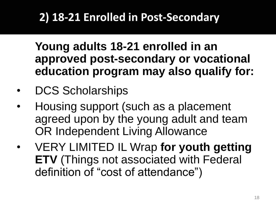### **2) 18-21 Enrolled in Post-Secondary**

**Young adults 18-21 enrolled in an approved post-secondary or vocational education program may also qualify for:** 

- DCS Scholarships
- Housing support (such as a placement agreed upon by the young adult and team OR Independent Living Allowance
- VERY LIMITED IL Wrap **for youth getting ETV** (Things not associated with Federal definition of "cost of attendance")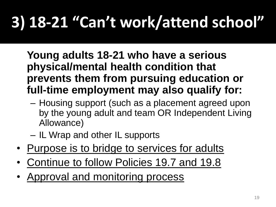# **3) 18-21 "Can't work/attend school"**

**Young adults 18-21 who have a serious physical/mental health condition that prevents them from pursuing education or full-time employment may also qualify for:**

- Housing support (such as a placement agreed upon by the young adult and team OR Independent Living Allowance)
- IL Wrap and other IL supports
- Purpose is to bridge to services for adults
- Continue to follow Policies 19.7 and 19.8
- Approval and monitoring process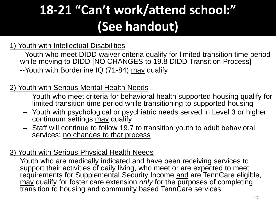### **18-21 "Can't work/attend school:" (See handout)**

#### 1) Youth with Intellectual Disabilities

--Youth who meet DIDD waiver criteria qualify for limited transition time period while moving to DIDD [NO CHANGES to 19.8 DIDD Transition Process] --Youth with Borderline IQ (71-84) may qualify

#### 2) Youth with Serious Mental Health Needs

- Youth who meet criteria for behavioral health supported housing qualify for limited transition time period while transitioning to supported housing
- Youth with psychological or psychiatric needs served in Level 3 or higher continuum settings may qualify
- Staff will continue to follow 19.7 to transition youth to adult behavioral services; no changes to that process

#### 3) Youth with Serious Physical Health Needs

Youth who are medically indicated and have been receiving services to support their activities of daily living, who meet or are expected to meet requirements for Supplemental Security Income and are TennCare eligible, may qualify for foster care extension *only* for the purposes of completing transition to housing and community based TennCare services.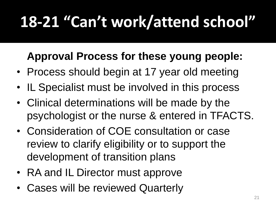# **18-21 "Can't work/attend school"**

### **Approval Process for these young people:**

- Process should begin at 17 year old meeting
- IL Specialist must be involved in this process
- Clinical determinations will be made by the psychologist or the nurse & entered in TFACTS.
- Consideration of COE consultation or case review to clarify eligibility or to support the development of transition plans
- RA and IL Director must approve
- Cases will be reviewed Quarterly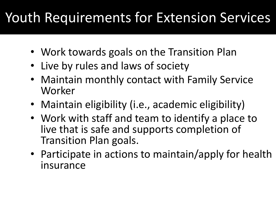## Youth Requirements for Extension Services

- Work towards goals on the Transition Plan
- Live by rules and laws of society
- Maintain monthly contact with Family Service Worker
- Maintain eligibility (i.e., academic eligibility)
- Work with staff and team to identify a place to live that is safe and supports completion of Transition Plan goals.
- Participate in actions to maintain/apply for health insurance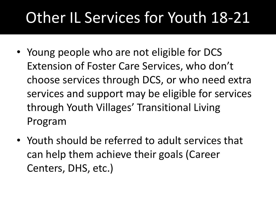# Other IL Services for Youth 18-21

- Young people who are not eligible for DCS Extension of Foster Care Services, who don't choose services through DCS, or who need extra services and support may be eligible for services through Youth Villages' Transitional Living Program
- Youth should be referred to adult services that can help them achieve their goals (Career Centers, DHS, etc.)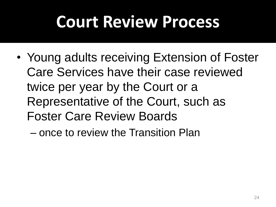# **Court Review Process**

- Young adults receiving Extension of Foster Care Services have their case reviewed twice per year by the Court or a Representative of the Court, such as Foster Care Review Boards
	- once to review the Transition Plan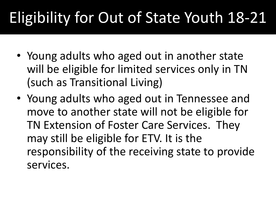# Eligibility for Out of State Youth 18-21

- Young adults who aged out in another state will be eligible for limited services only in TN (such as Transitional Living)
- Young adults who aged out in Tennessee and move to another state will not be eligible for TN Extension of Foster Care Services. They may still be eligible for ETV. It is the responsibility of the receiving state to provide services.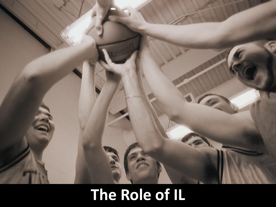

# **The Role of IL**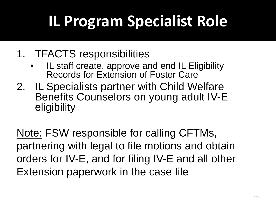# **IL Program Specialist Role**

- 1. TFACTS responsibilities
	- IL staff create, approve and end IL Eligibility Records for Extension of Foster Care
- 2. IL Specialists partner with Child Welfare Benefits Counselors on young adult IV-E eligibility

Note: FSW responsible for calling CFTMs, partnering with legal to file motions and obtain orders for IV-E, and for filing IV-E and all other Extension paperwork in the case file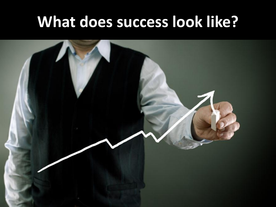## **What does success look like?**

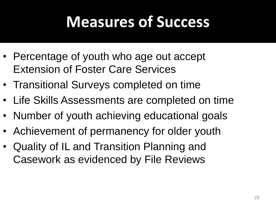## **Measures of Success**

- Percentage of youth who age out accept Extension of Foster Care Services
- Transitional Surveys completed on time
- Life Skills Assessments are completed on time
- Number of youth achieving educational goals
- Achievement of permanency for older youth
- Quality of IL and Transition Planning and Casework as evidenced by File Reviews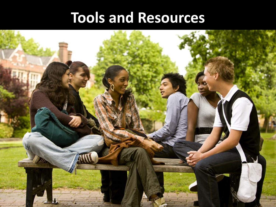### **Tools and Resources**

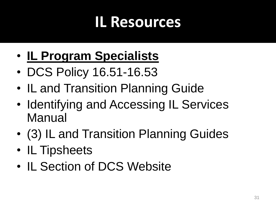## **IL Resources**

- **IL Program Specialists**
- DCS Policy 16.51-16.53
- IL and Transition Planning Guide
- Identifying and Accessing IL Services Manual
- (3) IL and Transition Planning Guides
- IL Tipsheets
- IL Section of DCS Website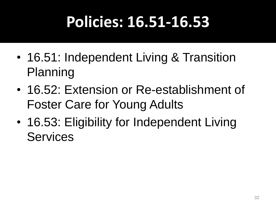# **Policies: 16.51-16.53**

- 16.51: Independent Living & Transition Planning
- 16.52: Extension or Re-establishment of Foster Care for Young Adults
- 16.53: Eligibility for Independent Living **Services**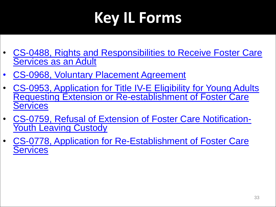# **Key IL Forms**

- [CS-0488, Rights and Responsibilities to Receive Foster Care](http://www.intranet.state.tn.us/chldserv/Forms/Forms/0488.doc)  [Services as an Adult](http://www.intranet.state.tn.us/chldserv/Forms/Forms/0488.doc)
- CS-0968, Voluntary Placement Agreement
- [CS-0953, Application for Title IV-E Eligibility for Young Adults](http://www.intranet.state.tn.us/chldserv/Forms/Forms/0953.doc)  [Requesting Extension or Re-establishment of Foster Care](http://www.intranet.state.tn.us/chldserv/Forms/Forms/0953.doc)  **[Services](http://www.intranet.state.tn.us/chldserv/Forms/Forms/0953.doc)**
- [CS-0759, Refusal of Extension of Foster Care Notification-](http://www.intranet.state.tn.us/chldserv/Forms/Forms/0759.doc)**[Youth Leaving Custody](http://www.intranet.state.tn.us/chldserv/Forms/Forms/0759.doc)**
- [CS-0778, Application for Re-Establishment of Foster Care](http://www.tn.gov/youth/providers/forms/0778.doc)  **[Services](http://www.tn.gov/youth/providers/forms/0778.doc)**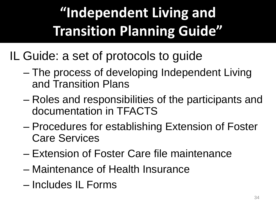# **"Independent Living and Transition Planning Guide"**

IL Guide: a set of protocols to guide

- The process of developing Independent Living and Transition Plans
- Roles and responsibilities of the participants and documentation in TFACTS
- Procedures for establishing Extension of Foster Care Services
- Extension of Foster Care file maintenance
- Maintenance of Health Insurance
- Includes IL Forms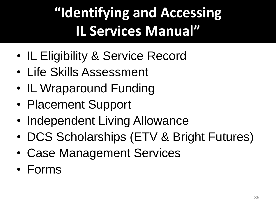## **"Identifying and Accessing IL Services Manual"**

- IL Eligibility & Service Record
- Life Skills Assessment
- IL Wraparound Funding
- Placement Support
- Independent Living Allowance
- DCS Scholarships (ETV & Bright Futures)
- Case Management Services
- Forms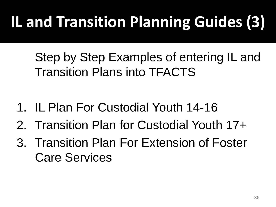# **IL and Transition Planning Guides (3)**

Step by Step Examples of entering IL and Transition Plans into TFACTS

- 1. IL Plan For Custodial Youth 14-16
- 2. Transition Plan for Custodial Youth 17+
- 3. Transition Plan For Extension of Foster Care Services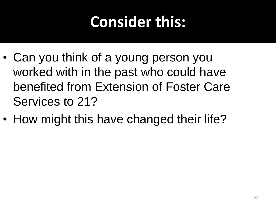# **Consider this:**

- Can you think of a young person you worked with in the past who could have benefited from Extension of Foster Care Services to 21?
- How might this have changed their life?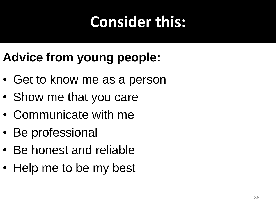# **Consider this:**

### **Advice from young people:**

- Get to know me as a person
- Show me that you care
- Communicate with me
- Be professional
- Be honest and reliable
- Help me to be my best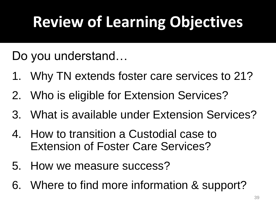# **Review of Learning Objectives**

Do you understand…

- 1. Why TN extends foster care services to 21?
- 2. Who is eligible for Extension Services?
- 3. What is available under Extension Services?
- 4. How to transition a Custodial case to Extension of Foster Care Services?
- 5. How we measure success?
- 6. Where to find more information & support?